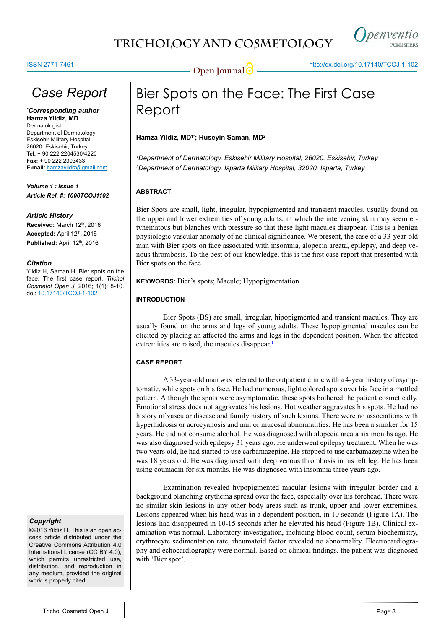# **TRICHOLOGY AND COSMETOLOGY**



**Open Journal @** http://dx.doi.org/[10.17140/TCOJ-1-102](http://dx.doi.org/10.17140/TCOJ-1-102)

# *Case Report*

*\* Corresponding author* **Hamza Yildiz, MD** Dermatologist Department of Dermatology Eskisehir Military Hospital 26020, Eskisehir, Turkey **Tel.** + 90 222 2204530/4220 **Fax:** + 90 222 2303433 **E-mail:** hamzayildiz@gmail.com

*Volume 1 : Issue 1 Article Ref. #: 1000TCOJ1102*

### *Article History*

**Received:** March 12th, 2016 **Accepted:** April 12th, 2016 Published: April 12<sup>th</sup>, 2016

### *Citation*

Yildiz H, Saman H. Bier spots on the face: The first case report. *Trichol Cosmetol Open J*. 2016; 1(1): 8-10. doi: [10.17140/TCOJ-1-102](http://dx.doi.org/10.17140/TCOJ-1-102)

### *Copyright*

©2016 Yildiz H. This is an open access article distributed under the Creative Commons Attribution 4.0 International License (CC BY 4.0), which permits unrestricted use, distribution, and reproduction in any medium, provided the original work is properly cited.

# Bier Spots on the Face: The First Case Report

### **Hamza Yildiz, MD1\*; Huseyin Saman, MD2**

*1 Department of Dermatology, Eskisehir Military Hospital, 26020, Eskisehir, Turkey 2 Department of Dermatology, Isparta Military Hospital, 32020, Isparta, Turkey*

### **ABSTRACT**

Bier Spots are small, light, irregular, hypopigmented and transient macules, usually found on the upper and lower extremities of young adults, in which the intervening skin may seem ertyhematous but blanches with pressure so that these light macules disappear. This is a [benign](https://en.wikipedia.org/wiki/Benign_tumor) physiologic vascular anomaly of no clinical significance. We present, the case of a 33-year-old man with Bier spots on face associated with insomnia, alopecia areata, epilepsy, and deep venous thrombosis. To the best of our knowledge, this is the first case report that presented with Bier spots on the face.

**KEYWORDS:** Bier's spots; Macule; Hypopigmentation.

### **INTRODUCTION**

Bier Spots (BS) are small, irregular, hipopigmented and transient macules. They are usually found on the arms and legs of young adults. These hypopigmented macules can be elicited by placing an affected the arms and legs in the dependent position. When the affected extremities are raised, the macules disappear.<sup>1</sup>

### **CASE REPORT**

A 33-year-old man was referred to the outpatient clinic with a 4-year history of asymptomatic, white spots on his face. He had numerous, light colored spots over his face in a mottled pattern. Although the spots were asymptomatic, these spots bothered the patient cosmetically. Emotional stress does not aggravates his lesions. Hot weather aggravates his spots. He had no history of vascular disease and family history of such lesions. There were no associations with hyperhidrosis or acrocyanosis and nail or mucosal abnormalities. He has been a smoker for 15 years. He did not consume alcohol. He was diagnosed with alopecia areata six months ago. He was also diagnosed with epilepsy 31 years ago. He underwent epilepsy treatment. When he was two years old, he had started to use carbamazepine. He stopped to use carbamazepine when he was 18 years old. He was diagnosed with deep venous thrombosis in his left leg. He has been using coumadin for six months. He was diagnosed with insomnia three years ago.

Examination revealed hypopigmented macular lesions with irregular border and a background blanching erythema spread over the face, especially over his forehead. There were no similar skin lesions in any other body areas such as trunk, upper and lower extremities. Lesions appeared when his head was in a dependent position, in 10 seconds (Figure 1A). The lesions had disappeared in 10-15 seconds after he elevated his head (Figure 1B). Clinical examination was normal. Laboratory investigation, including blood count, serum biochemistry, erythrocyte sedimentation rate, rheumatoid factor revealed no abnormality. Electrocardiography and echocardiography were normal. Based on clinical findings, the patient was diagnosed with 'Bier spot'.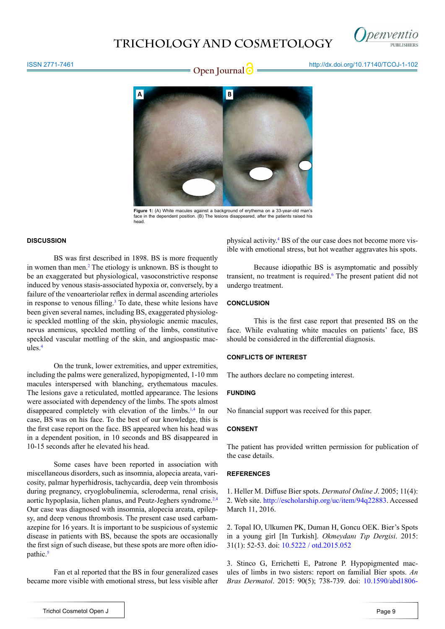## **TRICHOLOGY AND COSMETOLOGY**



#### ISSN 2771-7461

# **Open Journal determined to the intervention of the MCO determined to Den Journal determined to the intervention of the Open Journal determined to the intervention of the MCO determined to Den Journal determined to the int**



**Figure 1:** (A) White macules against a background of erythema on a 33-year-old man's face in the dependent position. (B) The lesions disappeared, after the patients raised his head.

#### **DISCUSSION**

BS was first described in 1898. BS is more frequently in women than men.<sup>2</sup> The etiology is unknown. BS is thought to be an exaggerated but physiological, vasoconstrictive response induced by venous stasis-associated hypoxia or, conversely, by a failure of the venoarteriolar reflex in dermal ascending arterioles in response to venous filling.<sup>[3](#page-1-2)</sup> To date, these white lesions have been given several names, including BS, exaggerated physiologic speckled mottling of the skin, physiologic anemic macules, nevus anemicus, speckled mottling of the limbs, constitutive speckled vascular mottling of the skin, and angiospastic macules.[4](#page-2-0)

On the trunk, lower extremities, and upper extremities, including the palms were generalized, hypopigmented, 1-10 mm macules interspersed with blanching, erythematous macules. The lesions gave a reticulated, mottled appearance. The lesions were associated with dependency of the limbs. The spots almost disappeared completely with elevation of the limbs.<sup>[1](#page-1-0)[,4](#page-2-0)</sup> In our case, BS was on his face. To the best of our knowledge, this is the first case report on the face. BS appeared when his head was in a dependent position, in 10 seconds and BS disappeared in 10-15 seconds after he elevated his head.

Some cases have been reported in association with miscellaneous disorders, such as insomnia, alopecia areata, varicosity, palmar hyperhidrosis, tachycardia, deep vein thrombosis during pregnancy, cryoglobulinemia, scleroderma, renal crisis, aortic hypoplasia, lichen planus, and Peutz-Jeghers syndrome.<sup>[2](#page-1-1),[4](#page-2-0)</sup> Our case was diagnosed with insomnia, alopecia areata, epilepsy, and deep venous thrombosis. The present case used carbamazepine for 16 years. It is important to be suspicious of systemic disease in patients with BS, because the spots are occasionally the first sign of such disease, but these spots are more often idio-pathic.<sup>[5](#page-2-1)</sup>

Fan et al reported that the BS in four generalized cases became more visible with emotional stress, but less visible after physical activity.<sup>[4](#page-2-0)</sup> BS of the our case does not become more visible with emotional stress, but hot weather aggravates his spots.

Because idiopathic BS is asymptomatic and possibly transient, no treatment is required.<sup>[6](#page-2-2)</sup> The present patient did not undergo treatment.

#### **CONCLUSION**

This is the first case report that presented BS on the face. While evaluating white macules on patients' face, BS should be considered in the differential diagnosis.

### **CONFLICTS OF INTEREST**

The authors declare no competing interest.

### **FUNDING**

No financial support was received for this paper.

### **CONSENT**

The patient has provided written permission for publication of the case details.

#### **REFERENCES**

<span id="page-1-0"></span>1. Heller M. Diffuse Bier spots. *Dermatol Online J*. 2005; 11(4): 2. Web site.<http://escholarship.org/uc/item/94q22883>. Accessed March 11, 2016.

<span id="page-1-1"></span>2. Topal IO, Ulkumen PK, Duman H, Goncu OEK. Bier's Spots in a young girl [In Turkish]. *Okmeydanı Tıp Dergisi*. 2015: 31(1): 52-53. doi: [10.5222 / otd.2015.052](http://www.onlinemakale.com/home/jvi.asp%3Fpdir%3Dokmeydanitip%26plng%3Dtur%26un%3DOTD-53315)

<span id="page-1-2"></span>3. Stinco G, Errichetti E, Patrone P. Hypopigmented macules of limbs in two sisters: report on familial Bier spots. *An Bras Dermatol*. 2015: 90(5); 738-739. doi: [10.1590/abd1806-](http://www.scielo.br/scielo.php%3Fscript%3Dsci_arttext%26pid%3DS0365-05962015000500738%26lng%3Den%26nrm%3Diso%26tlng%3Den)